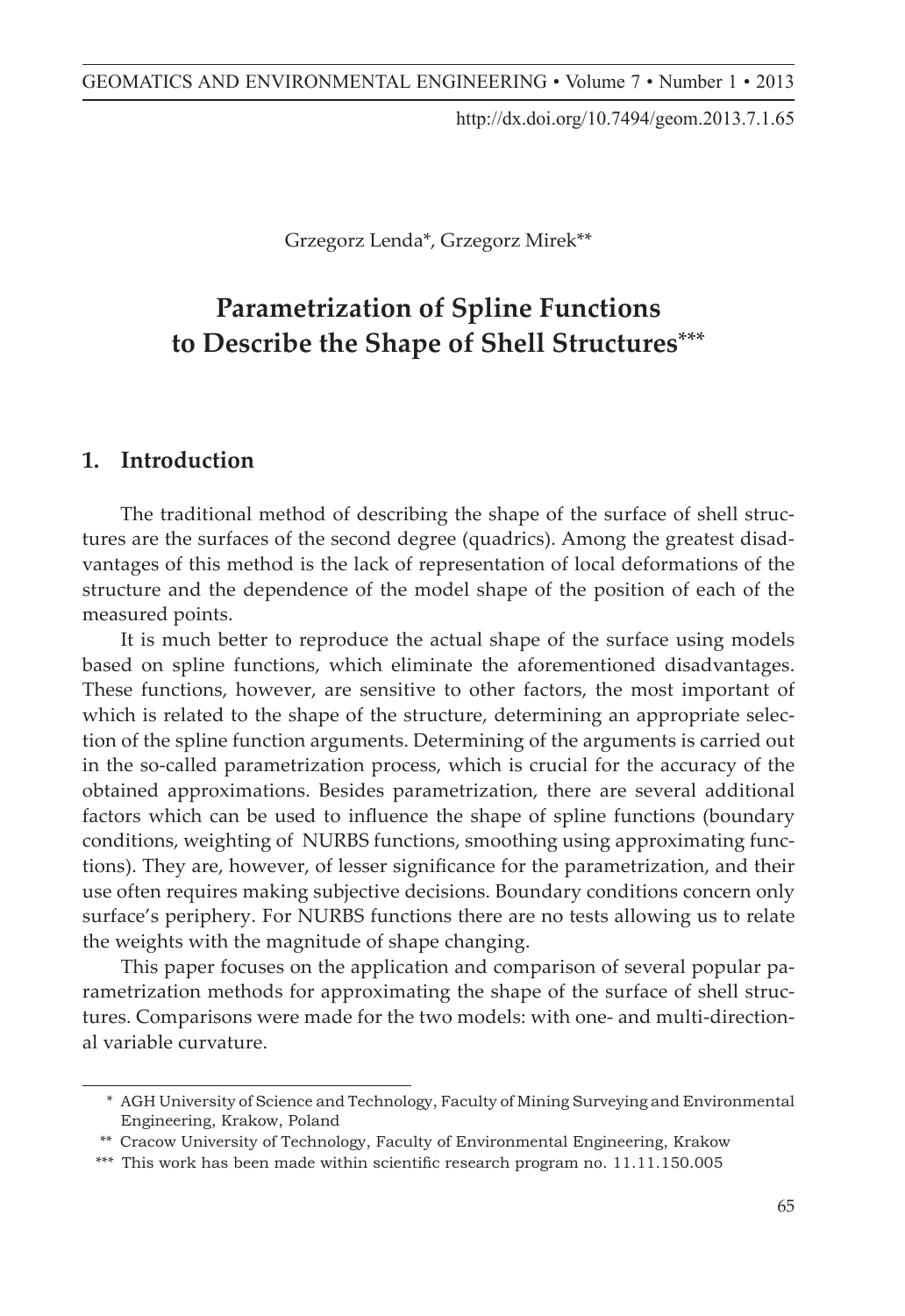http://dx.doi.org/10.7494/geom.2013.7.1.65

Grzegorz Lenda\*, Grzegorz Mirek\*\*

#### **Parametrization of Spline Functions to Describe the Shape of Shell Structures**\*\*\* **A Review of Robust Estimation Methods Applied in Surveying**

# **1. Introduction 1. Introduction**

The traditional method of describing the shape of the surface of shell structures are the surfaces of the second degree (quadrics). Among the greatest disadvantages of this method is the lack of representation of local deformations of the structure and the dependence of the model shape of the position of each of the measured points. Despite the continuous improvement of survey methods and advances made ine traditional method of describing the shape of the surface of shell struc-

It is much better to reproduce the actual shape of the surface using models based on spline functions, which eliminate the aforementioned disadvantages. These functions, however, are sensitive to other factors, the most important of which is related to the shape of the structure, determining an appropriate selection of the spline function arguments. Determining of the arguments is carried out in the so-called parametrization process, which is crucial for the accuracy of the obtained approximations. Besides parametrization, there are several additional factors which can be used to influence the shape of spline functions (boundary conditions, weighting of NURBS functions, smoothing using approximating functions). They are, however, of lesser significance for the parametrization, and their use often requires making subjective decisions. Boundary conditions concern only surface's periphery. For NURBS functions there are no tests allowing us to relate the weights with the magnitude of shape changing.

This paper focuses on the application and comparison of several popular parametrization methods for approximating the shape of the surface of shell structures. Comparisons were made for the two models: with one- and multi-directional variable curvature.

<sup>\*</sup> AGH University of Science and Technology, Faculty of Mining Surveying and Environmental Engineering, Krakow, Poland

<sup>\*\*</sup> Cracow University of Technology, Faculty of Environmental Engineering, Krakow

<sup>\*\*\*</sup> This work has been made within scientific research program no. 11.11.150.005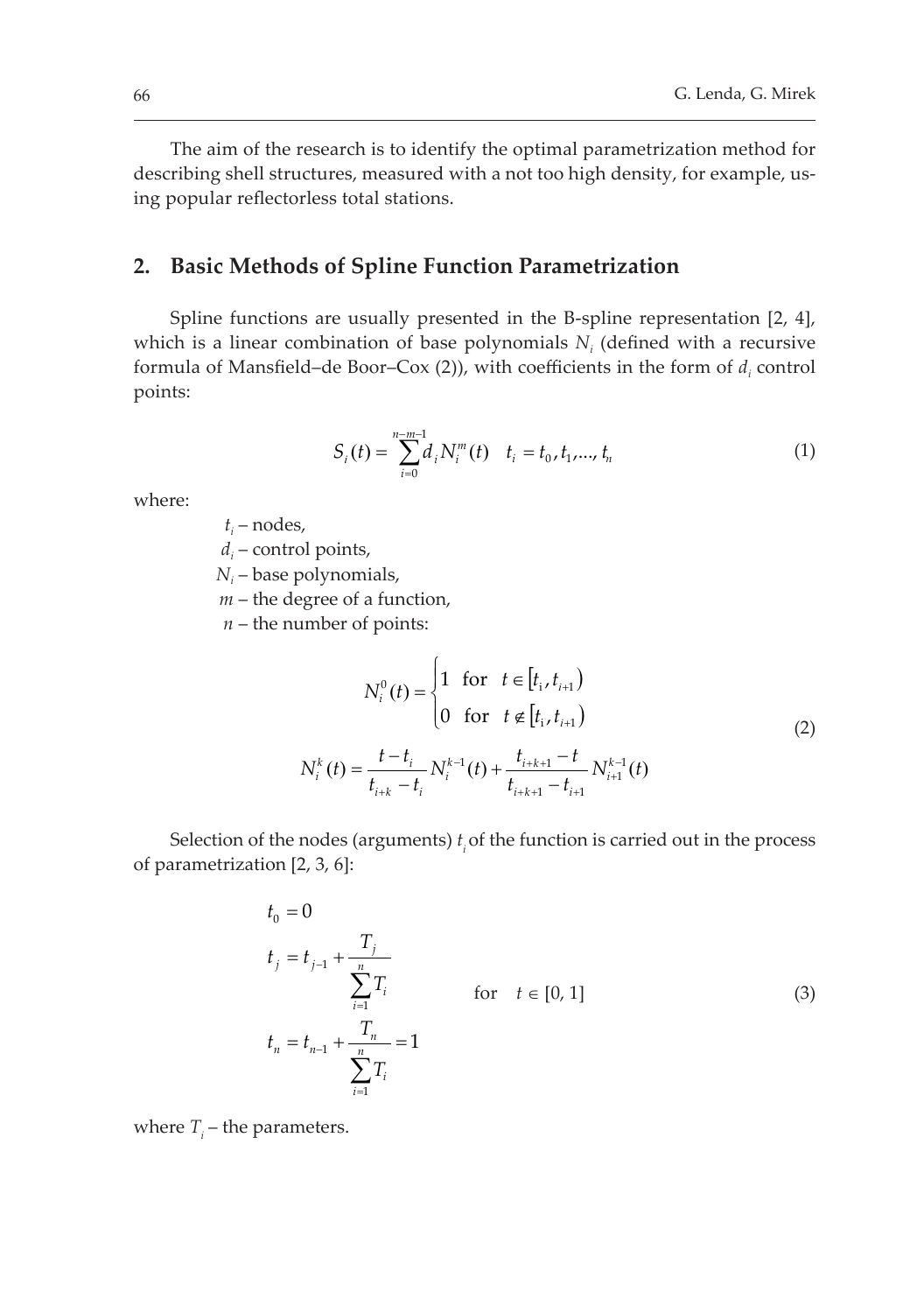The aim of the research is to identify the optimal parametrization method for describing shell structures, measured with a not too high density, for example, using popular reflectorless total stations.

## 2. Basic Methods of Spline Function Parametrization

Spline functions are usually presented in the B-spline representation [2, 4], which is a linear combination of base polynomials  $N_i$  (defined with a recursive formula of Mansfield–de Boor–Cox (2)), with coefficients in the form of  $d_i$  control points:

$$
S_i(t) = \sum_{i=0}^{n-m-1} d_i N_i^m(t) \quad t_i = t_0, t_1, \dots, t_n
$$
 (1)

where:

 $t_i$  – nodes,

 $d_i$  – control points,

*N<sub>i</sub>* – base polynomials,

*m* – the degree of a function,

 $n$  – the number of points:

$$
N_i^0(t) = \begin{cases} 1 & \text{for } t \in [t_i, t_{i+1}) \\ 0 & \text{for } t \notin [t_i, t_{i+1}) \end{cases}
$$
  

$$
N_i^k(t) = \frac{t - t_i}{t_{i+k} - t_i} N_i^{k-1}(t) + \frac{t_{i+k+1} - t}{t_{i+k+1} - t_{i+1}} N_{i+1}^{k-1}(t)
$$
 (2)

Selection of the nodes (arguments)  $t_i$  of the function is carried out in the process of parametrization [2, 3, 6]:

$$
t_{0} = 0
$$
  
\n
$$
t_{j} = t_{j-1} + \frac{T_{j}}{\sum_{i=1}^{n} T_{i}}
$$
  
\nfor  $t \in [0, 1]$   
\n
$$
t_{n} = t_{n-1} + \frac{T_{n}}{\sum_{i=1}^{n} T_{i}} = 1
$$
\n(3)

where  $T_i$  – the parameters.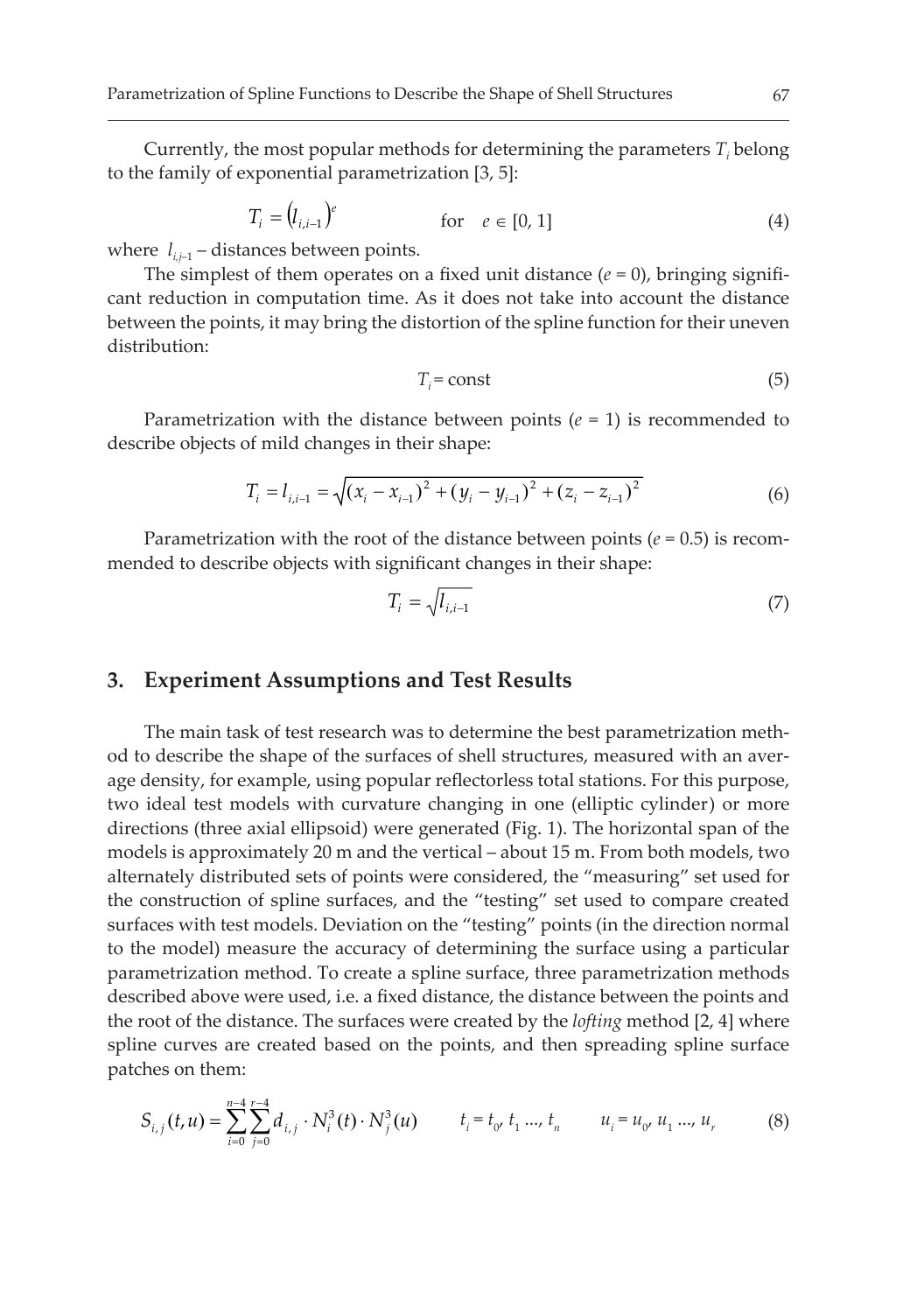Currently, the most popular methods for determining the parameters  $T_i$  belong to the family of exponential parametrization [3, 5]:

$$
T_i = (l_{i,i-1})^e \qquad \text{for} \quad e \in [0,1] \tag{4}
$$

where  $l_{i,i-1}$  – distances between points.

The simplest of them operates on a fixed unit distance  $(e = 0)$ , bringing significant reduction in computation time. As it does not take into account the distance between the points, it may bring the distortion of the spline function for their uneven distribution<sup>.</sup>

$$
T_i = \text{const} \tag{5}
$$

Parametrization with the distance between points ( $e = 1$ ) is recommended to describe objects of mild changes in their shape:

$$
T_i = l_{i,i-1} = \sqrt{(x_i - x_{i-1})^2 + (y_i - y_{i-1})^2 + (z_i - z_{i-1})^2}
$$
 (6)

Parametrization with the root of the distance between points ( $e = 0.5$ ) is recommended to describe objects with significant changes in their shape:

$$
T_i = \sqrt{l_{i,i-1}}\tag{7}
$$

### 3. Experiment Assumptions and Test Results

The main task of test research was to determine the best parametrization method to describe the shape of the surfaces of shell structures, measured with an average density, for example, using popular reflectorless total stations. For this purpose, two ideal test models with curvature changing in one (elliptic cylinder) or more directions (three axial ellipsoid) were generated (Fig. 1). The horizontal span of the models is approximately 20 m and the vertical – about 15 m. From both models, two alternately distributed sets of points were considered, the "measuring" set used for the construction of spline surfaces, and the "testing" set used to compare created surfaces with test models. Deviation on the "testing" points (in the direction normal to the model) measure the accuracy of determining the surface using a particular parametrization method. To create a spline surface, three parametrization methods described above were used, i.e. a fixed distance, the distance between the points and the root of the distance. The surfaces were created by the *lofting* method [2, 4] where spline curves are created based on the points, and then spreading spline surface patches on them:

$$
S_{i,j}(t,u) = \sum_{i=0}^{n-4} \sum_{j=0}^{r-4} d_{i,j} \cdot N_i^3(t) \cdot N_j^3(u) \qquad t_i = t_0, t_1, \dots, t_n \qquad u_i = u_0, u_1, \dots, u_r
$$
 (8)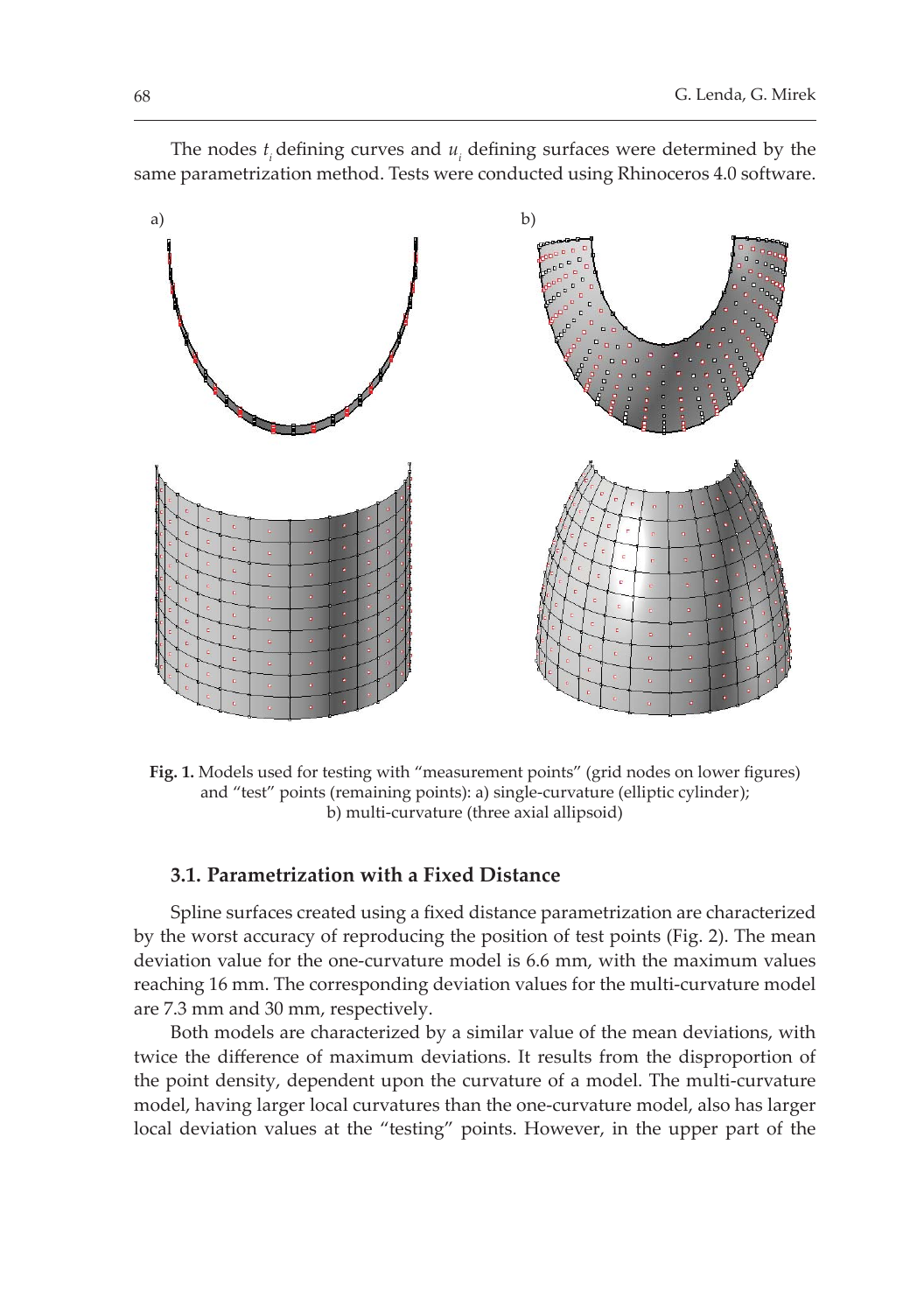

The nodes  $t_i$  defining curves and  $u_i$  defining surfaces were determined by the same parametrization method. Tests were conducted using Rhinoceros 4.0 software.

Fig. 1. Models used for testing with "measurement points" (grid nodes on lower figures) and "test" points (remaining points): a) single-curvature (elliptic cylinder); b) multi-curvature (three axial allipsoid)

#### 3.1. Parametrization with a Fixed Distance

Spline surfaces created using a fixed distance parametrization are characterized by the worst accuracy of reproducing the position of test points (Fig. 2). The mean deviation value for the one-curvature model is 6.6 mm, with the maximum values reaching 16 mm. The corresponding deviation values for the multi-curvature model are 7.3 mm and 30 mm, respectively.

Both models are characterized by a similar value of the mean deviations, with twice the difference of maximum deviations. It results from the disproportion of the point density, dependent upon the curvature of a model. The multi-curvature model, having larger local curvatures than the one-curvature model, also has larger local deviation values at the "testing" points. However, in the upper part of the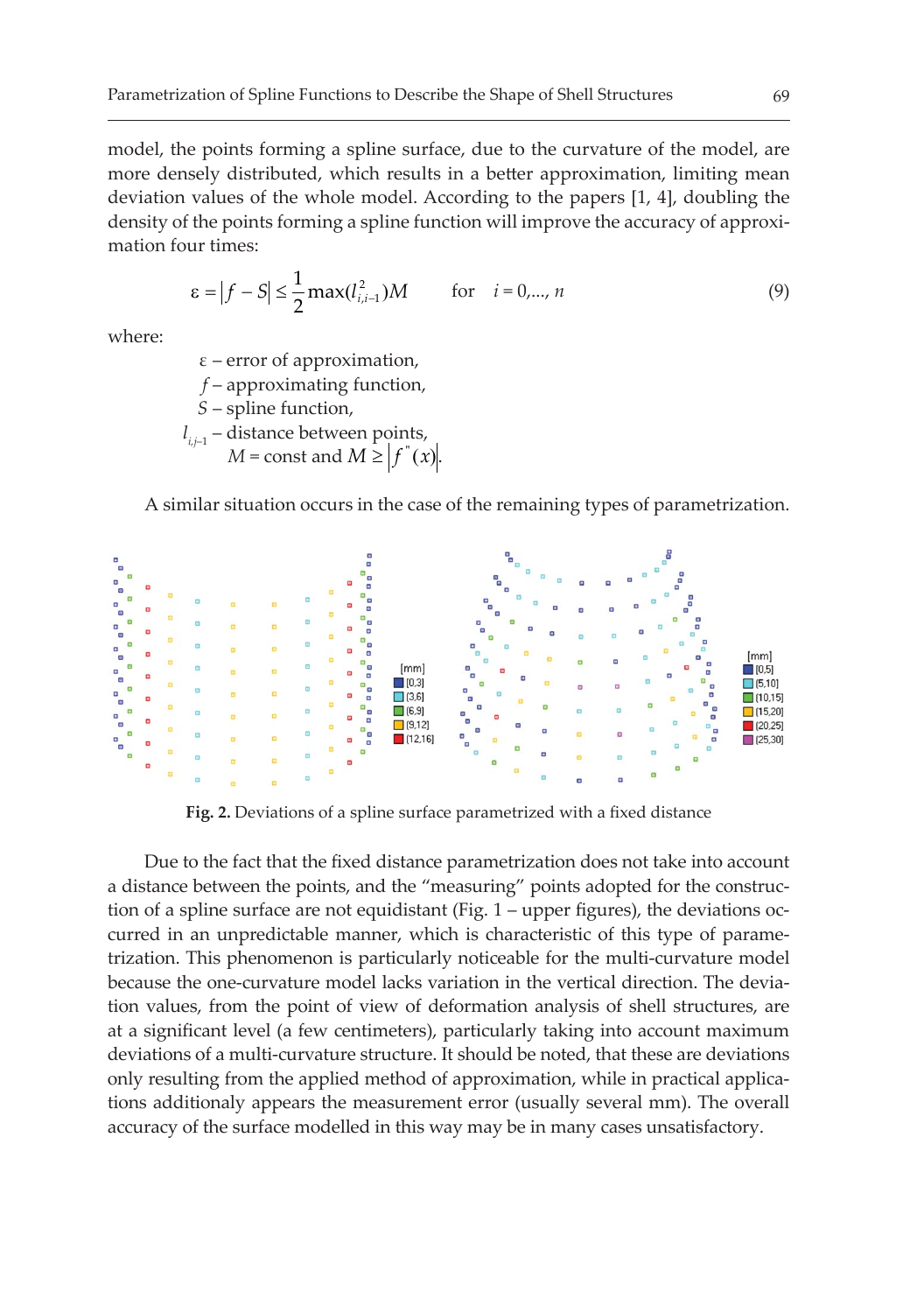model, the points forming a spline surface, due to the curvature of the model, are more densely distributed, which results in a better approximation, limiting mean deviation values of the whole model. According to the papers [1, 4], doubling the density of the points forming a spline function will improve the accuracy of approximation four times:

$$
\varepsilon = |f - S| \le \frac{1}{2} \max(l_{i,i-1}^{2}) M \qquad \text{for} \quad i = 0,..., n
$$
 (9)

where:

 $\varepsilon$  – error of approximation, f – approximating function, S – spline function,  $l_{i,j-1}$  – distance between points,  $M = \text{const}$  and  $M \geq |f(x)|$ .

A similar situation occurs in the case of the remaining types of parametrization.



Fig. 2. Deviations of a spline surface parametrized with a fixed distance

Due to the fact that the fixed distance parametrization does not take into account a distance between the points, and the "measuring" points adopted for the construction of a spline surface are not equidistant (Fig. 1 – upper figures), the deviations occurred in an unpredictable manner, which is characteristic of this type of parametrization. This phenomenon is particularly noticeable for the multi-curvature model because the one-curvature model lacks variation in the vertical direction. The deviation values, from the point of view of deformation analysis of shell structures, are at a significant level (a few centimeters), particularly taking into account maximum deviations of a multi-curvature structure. It should be noted, that these are deviations only resulting from the applied method of approximation, while in practical applications additionaly appears the measurement error (usually several mm). The overall accuracy of the surface modelled in this way may be in many cases unsatisfactory.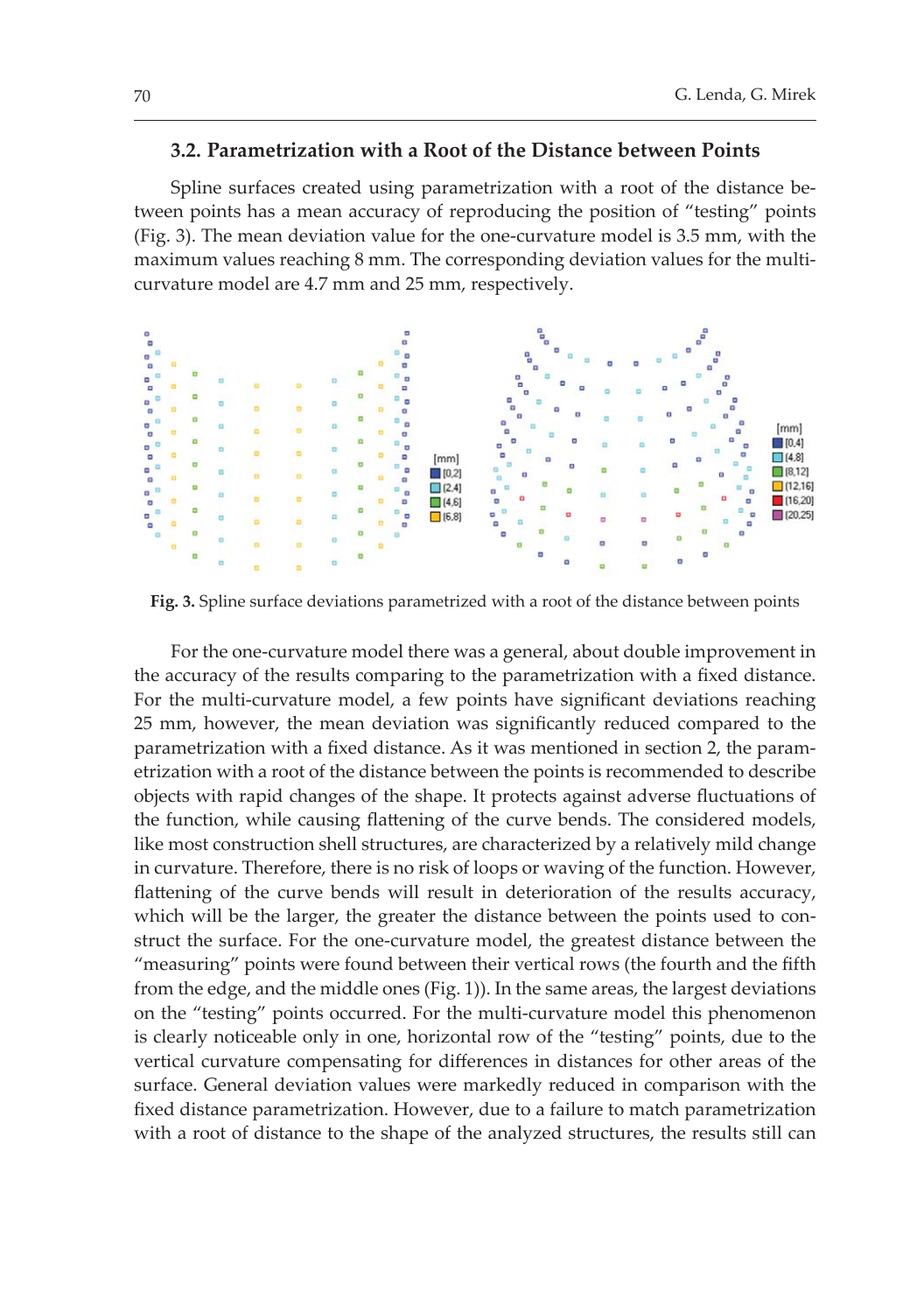#### 3.2. Parametrization with a Root of the Distance between Points

Spline surfaces created using parametrization with a root of the distance between points has a mean accuracy of reproducing the position of "testing" points (Fig. 3). The mean deviation value for the one-curvature model is 3.5 mm, with the maximum values reaching 8 mm. The corresponding deviation values for the multicurvature model are 4.7 mm and 25 mm, respectively.



Fig. 3. Spline surface deviations parametrized with a root of the distance between points

For the one-curvature model there was a general, about double improvement in the accuracy of the results comparing to the parametrization with a fixed distance. For the multi-curvature model, a few points have significant deviations reaching 25 mm, however, the mean deviation was significantly reduced compared to the parametrization with a fixed distance. As it was mentioned in section 2, the paramestrization with a root of the distance between the points is recommended to describe objects with rapid changes of the shape. It protects against adverse fluctuations of the function, while causing flattening of the curve bends. The considered models, like most construction shell structures, are characterized by a relatively mild change in curvature. Therefore, there is no risk of loops or waving of the function. However, flattening of the curve bends will result in deterioration of the results accuracy, which will be the larger, the greater the distance between the points used to construct the surface. For the one-curvature model, the greatest distance between the "measuring" points were found between their vertical rows (the fourth and the fifth from the edge, and the middle ones (Fig. 1)). In the same areas, the largest deviations on the "testing" points occurred. For the multi-curvature model this phenomenon is clearly noticeable only in one, horizontal row of the "testing" points, due to the vertical curvature compensating for differences in distances for other areas of the surface. General deviation values were markedly reduced in comparison with the fixed distance parametrization. However, due to a failure to match parametrization with a root of distance to the shape of the analyzed structures, the results still can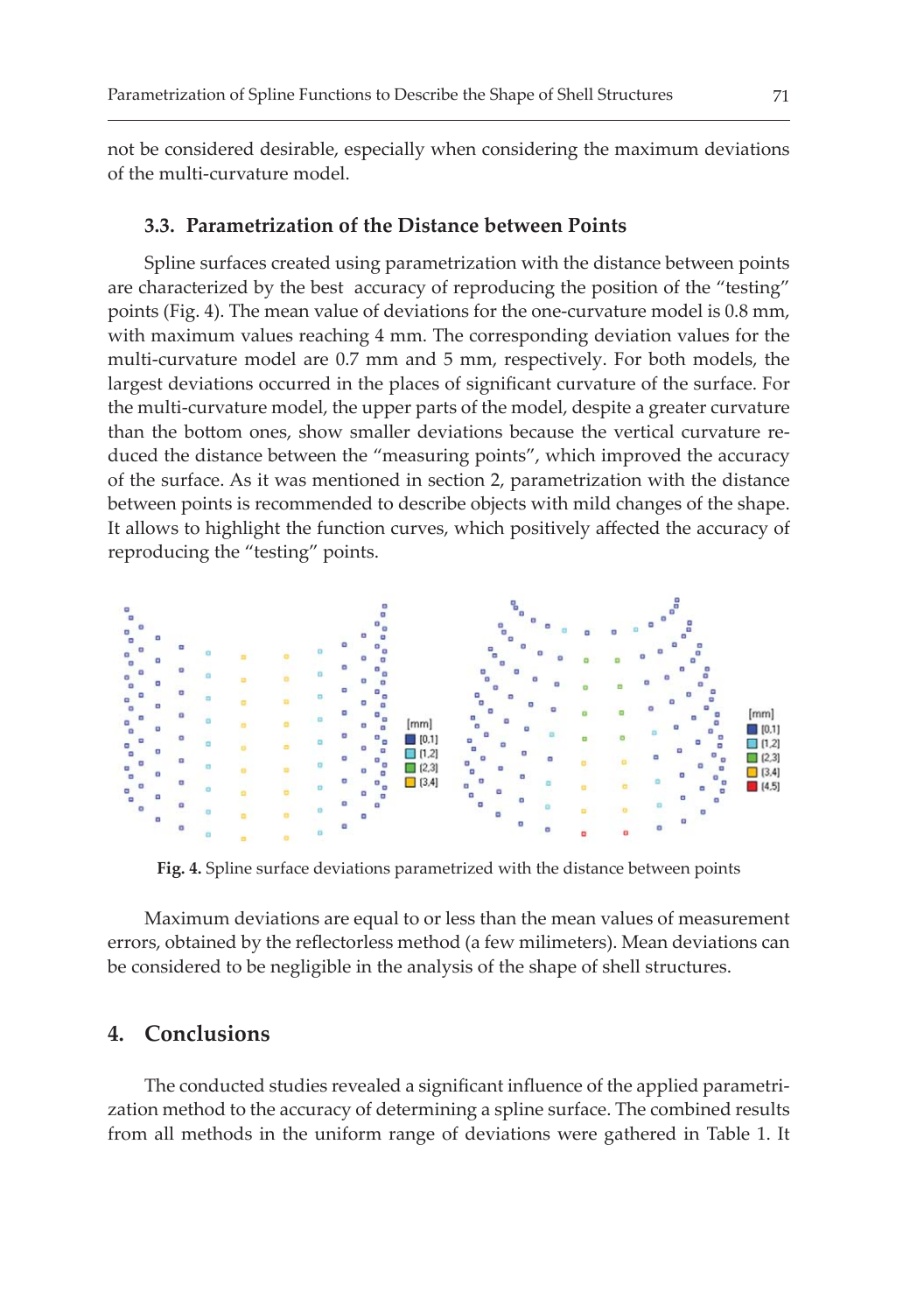not be considered desirable, especially when considering the maximum deviations of the multi-curvature model.

#### 3.3. Parametrization of the Distance between Points

Spline surfaces created using parametrization with the distance between points are characterized by the best accuracy of reproducing the position of the "testing" points (Fig. 4). The mean value of deviations for the one-curvature model is 0.8 mm, with maximum values reaching 4 mm. The corresponding deviation values for the multi-curvature model are 0.7 mm and 5 mm, respectively. For both models, the largest deviations occurred in the places of significant curvature of the surface. For the multi-curvature model, the upper parts of the model, despite a greater curvature than the bottom ones, show smaller deviations because the vertical curvature reduced the distance between the "measuring points", which improved the accuracy of the surface. As it was mentioned in section 2, parametrization with the distance between points is recommended to describe objects with mild changes of the shape. It allows to highlight the function curves, which positively affected the accuracy of reproducing the "testing" points.



Fig. 4. Spline surface deviations parametrized with the distance between points

Maximum deviations are equal to or less than the mean values of measurement errors, obtained by the reflectorless method (a few milimeters). Mean deviations can be considered to be negligible in the analysis of the shape of shell structures.

### 4. Conclusions

The conducted studies revealed a significant influence of the applied parametrization method to the accuracy of determining a spline surface. The combined results from all methods in the uniform range of deviations were gathered in Table 1. It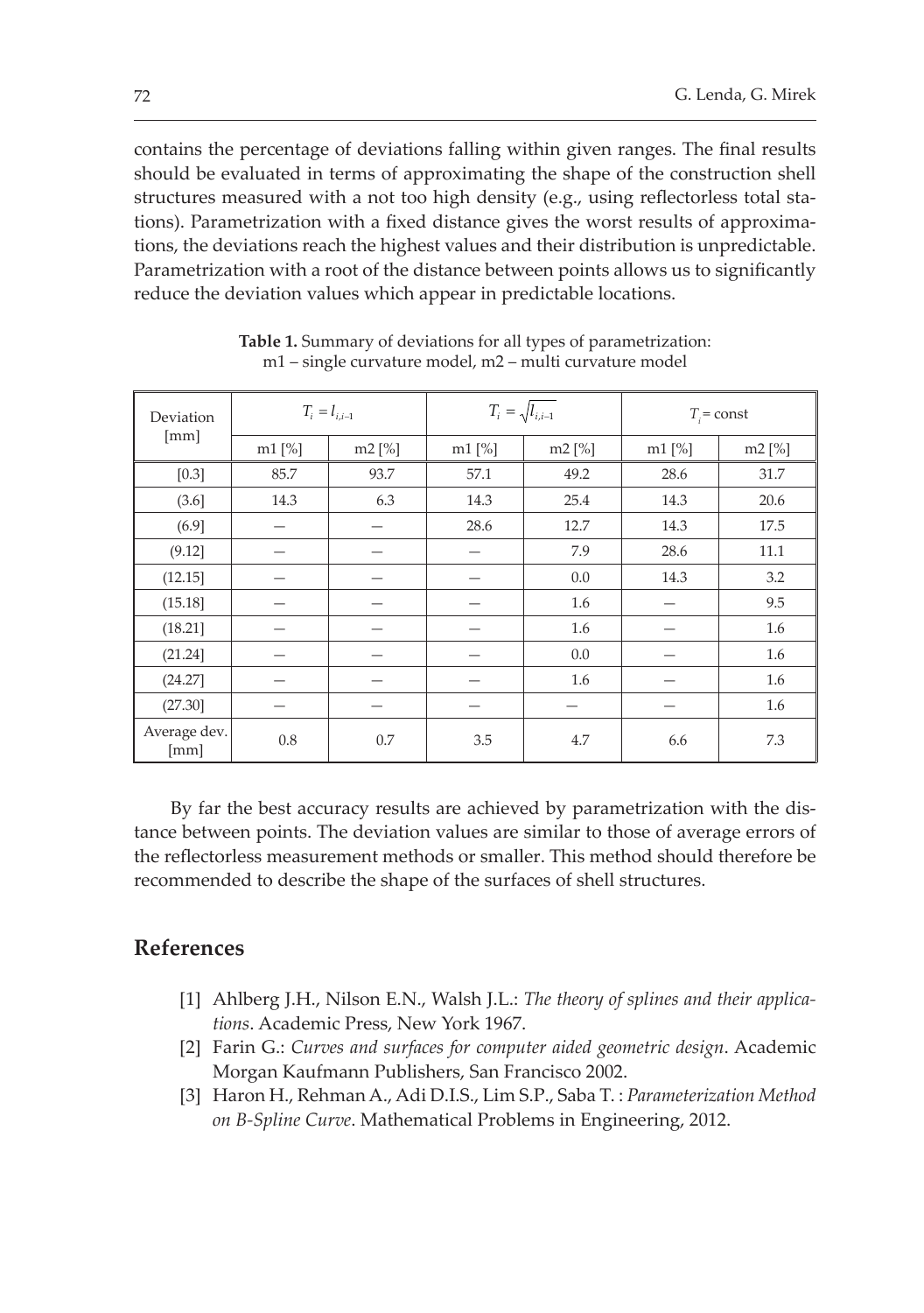contains the percentage of deviations falling within given ranges. The final results should be evaluated in terms of approximating the shape of the construction shell structures measured with a not too high density (e.g., using reflectorless total stations). Parametrization with a fixed distance gives the worst results of approximations, the deviations reach the highest values and their distribution is unpredictable. Parametrization with a root of the distance between points allows us to significantly reduce the deviation values which appear in predictable locations.

| Deviation<br>[mm]    | $T_i = l_{i,i-1}$ |          | $T_i = \sqrt{l_{i,i-1}}$ |          | $T_i$ = const |        |
|----------------------|-------------------|----------|--------------------------|----------|---------------|--------|
|                      | $m1$ [%]          | $m2$ [%] | $m1$ [%]                 | $m2$ [%] | $m1$ [%]      | m2 [%] |
| $[0.3]$              | 85.7              | 93.7     | 57.1                     | 49.2     | 28.6          | 31.7   |
| (3.6)                | 14.3              | 6.3      | 14.3                     | 25.4     | 14.3          | 20.6   |
| (6.9]                |                   |          | 28.6                     | 12.7     | 14.3          | 17.5   |
| (9.12)               |                   |          |                          | 7.9      | 28.6          | 11.1   |
| (12.15)              |                   |          |                          | 0.0      | 14.3          | 3.2    |
| (15.18)              |                   |          |                          | 1.6      |               | 9.5    |
| (18.21)              |                   |          |                          | 1.6      |               | 1.6    |
| (21.24)              |                   |          |                          | 0.0      |               | 1.6    |
| (24.27)              |                   |          |                          | 1.6      |               | 1.6    |
| (27.30)              |                   |          |                          |          |               | 1.6    |
| Average dev.<br>[mm] | 0.8               | 0.7      | 3.5                      | 4.7      | 6.6           | 7.3    |

Table 1. Summary of deviations for all types of parametrization: m1 – single curvature model, m2 – multi curvature model

By far the best accuracy results are achieved by parametrization with the distance between points. The deviation values are similar to those of average errors of the reflectorless measurement methods or smaller. This method should therefore be recommended to describe the shape of the surfaces of shell structures.

## **References**

- [1] Ahlberg J.H., Nilson E.N., Walsh J.L.: *The theory of splines and their applica*tions. Academic Press, New York 1967.
- [2] Farin G.: Curves and surfaces for computer aided geometric design. Academic Morgan Kaufmann Publishers, San Francisco 2002.
- [3] Haron H., Rehman A., Adi D.I.S., Lim S.P., Saba T.: *Parameterization Method* on B-Spline Curve. Mathematical Problems in Engineering, 2012.